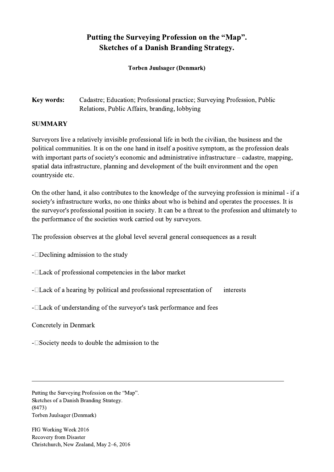## Putting the Surveying Profession on the "Map". Sketches of a Danish Branding Strategy.

Torben Juulsager (Denmark)

Key words: Cadastre; Education; Professional practice; Surveying Profession, Public Relations, Public Affairs, branding, lobbying

## SUMMARY

Surveyors live a relatively invisible professional life in both the civilian, the business and the political communities. It is on the one hand in itself a positive symptom, as the profession deals with important parts of society's economic and administrative infrastructure – cadastre, mapping, spatial data infrastructure, planning and development of the built environment and the open countryside etc.

On the other hand, it also contributes to the knowledge of the surveying profession is minimal - if a society's infrastructure works, no one thinks about who is behind and operates the processes. It is the surveyor's professional position in society. It can be a threat to the profession and ultimately to the performance of the societies work carried out by surveyors.

The profession observes at the global level several general consequences as a result

- $\Box$ Declining admission to the study

 $-Lack$  of professional competencies in the labor market

 $-Lack$  of a hearing by political and professional representation of interests

 $\mathcal{L}_\mathcal{L} = \{ \mathcal{L}_\mathcal{L} = \{ \mathcal{L}_\mathcal{L} = \{ \mathcal{L}_\mathcal{L} = \{ \mathcal{L}_\mathcal{L} = \{ \mathcal{L}_\mathcal{L} = \{ \mathcal{L}_\mathcal{L} = \{ \mathcal{L}_\mathcal{L} = \{ \mathcal{L}_\mathcal{L} = \{ \mathcal{L}_\mathcal{L} = \{ \mathcal{L}_\mathcal{L} = \{ \mathcal{L}_\mathcal{L} = \{ \mathcal{L}_\mathcal{L} = \{ \mathcal{L}_\mathcal{L} = \{ \mathcal{L}_\mathcal{$ 

- $\Box$  Lack of understanding of the surveyor's task performance and fees

Concretely in Denmark

 $-\Box$  Society needs to double the admission to the

Putting the Surveying Profession on the "Map". Sketches of a Danish Branding Strategy. (8473) Torben Juulsager (Denmark)

FIG Working Week 2016 Recovery from Disaster Christchurch, New Zealand, May 2–6, 2016